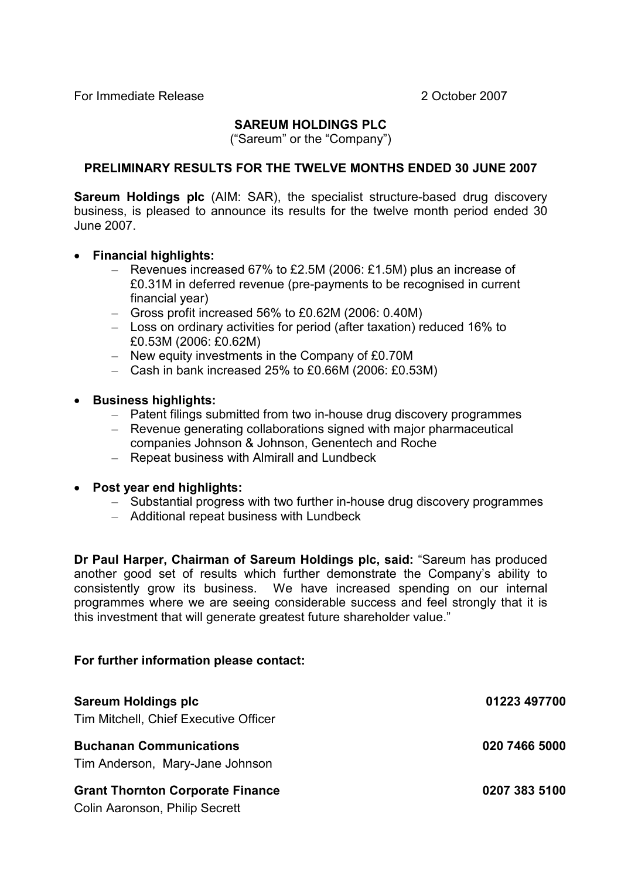#### SAREUM HOLDINGS PLC

("Sareum" or the "Company")

#### PRELIMINARY RESULTS FOR THE TWELVE MONTHS ENDED 30 JUNE 2007

Sareum Holdings plc (AIM: SAR), the specialist structure-based drug discovery business, is pleased to announce its results for the twelve month period ended 30 June 2007.

- Financial highlights:
	- Revenues increased 67% to £2.5M (2006: £1.5M) plus an increase of £0.31M in deferred revenue (pre-payments to be recognised in current financial year)
	- Gross profit increased 56% to £0.62M (2006: 0.40M)
	- Loss on ordinary activities for period (after taxation) reduced 16% to £0.53M (2006: £0.62M)
	- New equity investments in the Company of £0.70M
	- Cash in bank increased 25% to £0.66M (2006: £0.53M)
- Business highlights:
	- Patent filings submitted from two in-house drug discovery programmes
	- Revenue generating collaborations signed with major pharmaceutical companies Johnson & Johnson, Genentech and Roche
	- Repeat business with Almirall and Lundbeck
- Post year end highlights:
	- Substantial progress with two further in-house drug discovery programmes
	- Additional repeat business with Lundbeck

Dr Paul Harper, Chairman of Sareum Holdings plc, said: "Sareum has produced another good set of results which further demonstrate the Company's ability to consistently grow its business. We have increased spending on our internal programmes where we are seeing considerable success and feel strongly that it is this investment that will generate greatest future shareholder value."

#### For further information please contact:

| <b>Sareum Holdings plc</b><br>Tim Mitchell, Chief Executive Officer       | 01223 497700  |
|---------------------------------------------------------------------------|---------------|
| <b>Buchanan Communications</b><br>Tim Anderson, Mary-Jane Johnson         | 020 7466 5000 |
| <b>Grant Thornton Corporate Finance</b><br>Colin Aaronson, Philip Secrett | 0207 383 5100 |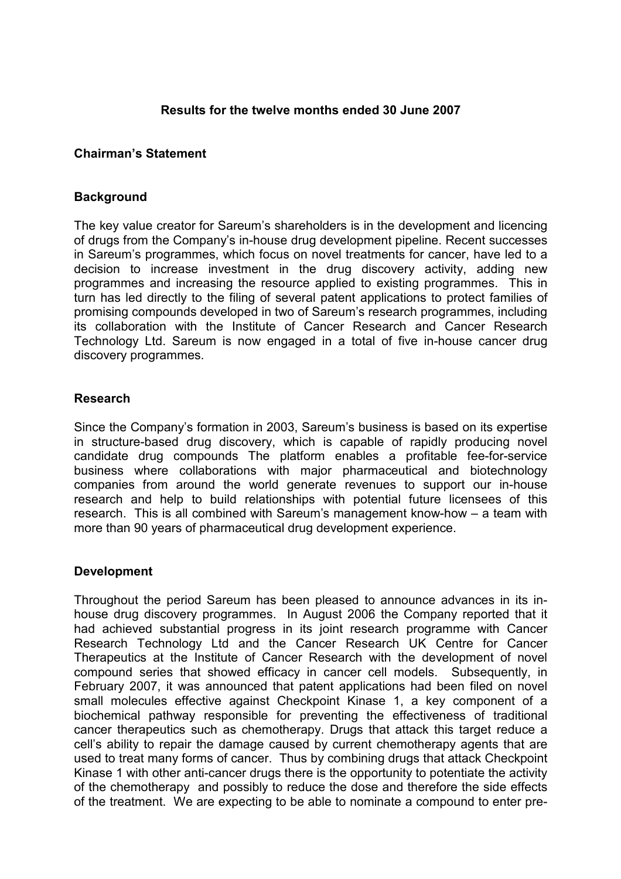#### Results for the twelve months ended 30 June 2007

#### Chairman's Statement

#### **Background**

The key value creator for Sareum's shareholders is in the development and licencing of drugs from the Company's in-house drug development pipeline. Recent successes in Sareum's programmes, which focus on novel treatments for cancer, have led to a decision to increase investment in the drug discovery activity, adding new programmes and increasing the resource applied to existing programmes. This in turn has led directly to the filing of several patent applications to protect families of promising compounds developed in two of Sareum's research programmes, including its collaboration with the Institute of Cancer Research and Cancer Research Technology Ltd. Sareum is now engaged in a total of five in-house cancer drug discovery programmes.

#### Research

Since the Company's formation in 2003, Sareum's business is based on its expertise in structure-based drug discovery, which is capable of rapidly producing novel candidate drug compounds The platform enables a profitable fee-for-service business where collaborations with major pharmaceutical and biotechnology companies from around the world generate revenues to support our in-house research and help to build relationships with potential future licensees of this research. This is all combined with Sareum's management know-how – a team with more than 90 years of pharmaceutical drug development experience.

#### Development

Throughout the period Sareum has been pleased to announce advances in its inhouse drug discovery programmes. In August 2006 the Company reported that it had achieved substantial progress in its joint research programme with Cancer Research Technology Ltd and the Cancer Research UK Centre for Cancer Therapeutics at the Institute of Cancer Research with the development of novel compound series that showed efficacy in cancer cell models. Subsequently, in February 2007, it was announced that patent applications had been filed on novel small molecules effective against Checkpoint Kinase 1, a key component of a biochemical pathway responsible for preventing the effectiveness of traditional cancer therapeutics such as chemotherapy. Drugs that attack this target reduce a cell's ability to repair the damage caused by current chemotherapy agents that are used to treat many forms of cancer. Thus by combining drugs that attack Checkpoint Kinase 1 with other anti-cancer drugs there is the opportunity to potentiate the activity of the chemotherapy and possibly to reduce the dose and therefore the side effects of the treatment. We are expecting to be able to nominate a compound to enter pre-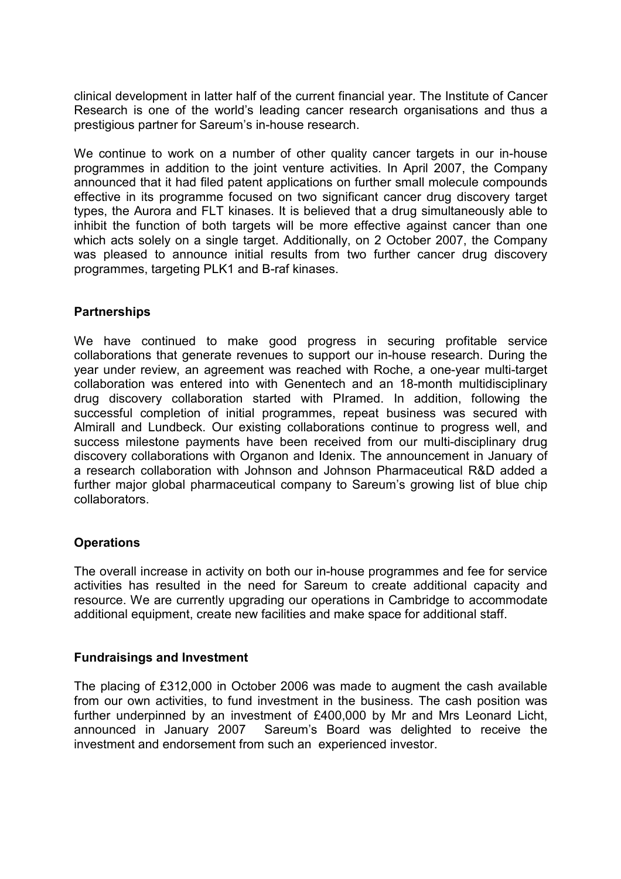clinical development in latter half of the current financial year. The Institute of Cancer Research is one of the world's leading cancer research organisations and thus a prestigious partner for Sareum's in-house research.

We continue to work on a number of other quality cancer targets in our in-house programmes in addition to the joint venture activities. In April 2007, the Company announced that it had filed patent applications on further small molecule compounds effective in its programme focused on two significant cancer drug discovery target types, the Aurora and FLT kinases. It is believed that a drug simultaneously able to inhibit the function of both targets will be more effective against cancer than one which acts solely on a single target. Additionally, on 2 October 2007, the Company was pleased to announce initial results from two further cancer drug discovery programmes, targeting PLK1 and B-raf kinases.

#### **Partnerships**

We have continued to make good progress in securing profitable service collaborations that generate revenues to support our in-house research. During the year under review, an agreement was reached with Roche, a one-year multi-target collaboration was entered into with Genentech and an 18-month multidisciplinary drug discovery collaboration started with PIramed. In addition, following the successful completion of initial programmes, repeat business was secured with Almirall and Lundbeck. Our existing collaborations continue to progress well, and success milestone payments have been received from our multi-disciplinary drug discovery collaborations with Organon and Idenix. The announcement in January of a research collaboration with Johnson and Johnson Pharmaceutical R&D added a further major global pharmaceutical company to Sareum's growing list of blue chip collaborators.

#### **Operations**

The overall increase in activity on both our in-house programmes and fee for service activities has resulted in the need for Sareum to create additional capacity and resource. We are currently upgrading our operations in Cambridge to accommodate additional equipment, create new facilities and make space for additional staff.

#### Fundraisings and Investment

The placing of £312,000 in October 2006 was made to augment the cash available from our own activities, to fund investment in the business. The cash position was further underpinned by an investment of £400,000 by Mr and Mrs Leonard Licht, announced in January 2007 Sareum's Board was delighted to receive the investment and endorsement from such an experienced investor.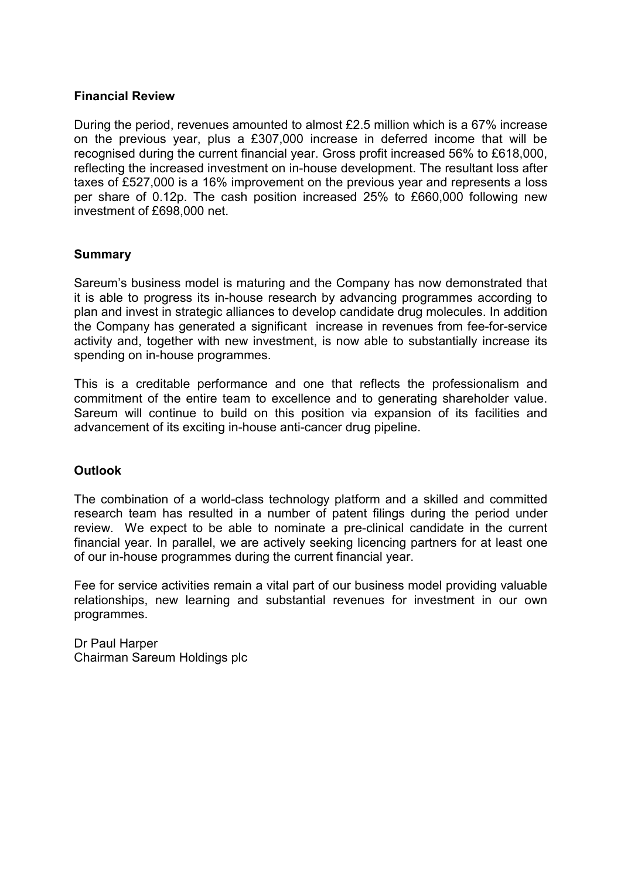#### Financial Review

During the period, revenues amounted to almost £2.5 million which is a 67% increase on the previous year, plus a £307,000 increase in deferred income that will be recognised during the current financial year. Gross profit increased 56% to £618,000, reflecting the increased investment on in-house development. The resultant loss after taxes of £527,000 is a 16% improvement on the previous year and represents a loss per share of 0.12p. The cash position increased 25% to £660,000 following new investment of £698,000 net.

#### Summary

Sareum's business model is maturing and the Company has now demonstrated that it is able to progress its in-house research by advancing programmes according to plan and invest in strategic alliances to develop candidate drug molecules. In addition the Company has generated a significant increase in revenues from fee-for-service activity and, together with new investment, is now able to substantially increase its spending on in-house programmes.

This is a creditable performance and one that reflects the professionalism and commitment of the entire team to excellence and to generating shareholder value. Sareum will continue to build on this position via expansion of its facilities and advancement of its exciting in-house anti-cancer drug pipeline.

#### **Outlook**

The combination of a world-class technology platform and a skilled and committed research team has resulted in a number of patent filings during the period under review. We expect to be able to nominate a pre-clinical candidate in the current financial year. In parallel, we are actively seeking licencing partners for at least one of our in-house programmes during the current financial year.

Fee for service activities remain a vital part of our business model providing valuable relationships, new learning and substantial revenues for investment in our own programmes.

Dr Paul Harper Chairman Sareum Holdings plc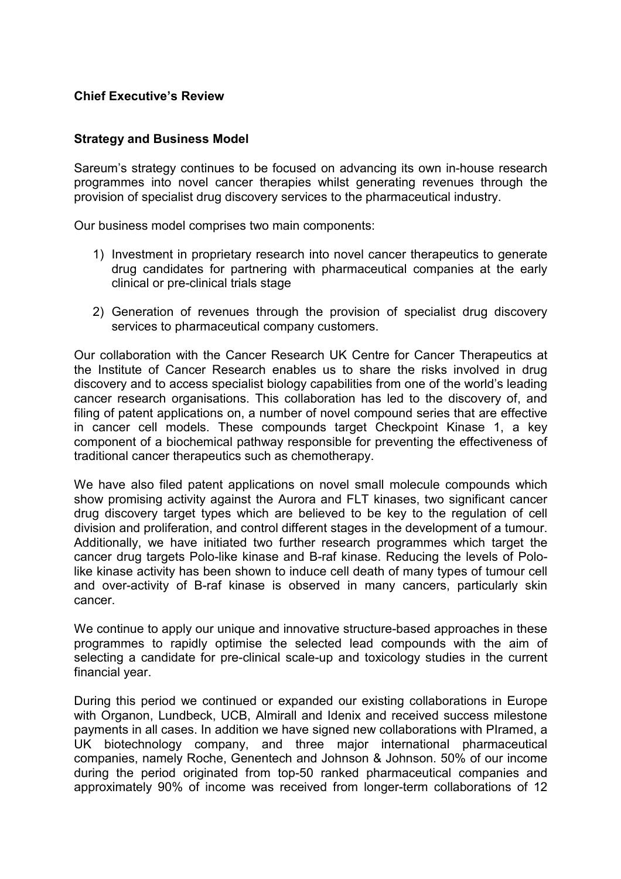#### Chief Executive's Review

#### Strategy and Business Model

Sareum's strategy continues to be focused on advancing its own in-house research programmes into novel cancer therapies whilst generating revenues through the provision of specialist drug discovery services to the pharmaceutical industry.

Our business model comprises two main components:

- 1) Investment in proprietary research into novel cancer therapeutics to generate drug candidates for partnering with pharmaceutical companies at the early clinical or pre-clinical trials stage
- 2) Generation of revenues through the provision of specialist drug discovery services to pharmaceutical company customers.

Our collaboration with the Cancer Research UK Centre for Cancer Therapeutics at the Institute of Cancer Research enables us to share the risks involved in drug discovery and to access specialist biology capabilities from one of the world's leading cancer research organisations. This collaboration has led to the discovery of, and filing of patent applications on, a number of novel compound series that are effective in cancer cell models. These compounds target Checkpoint Kinase 1, a key component of a biochemical pathway responsible for preventing the effectiveness of traditional cancer therapeutics such as chemotherapy.

We have also filed patent applications on novel small molecule compounds which show promising activity against the Aurora and FLT kinases, two significant cancer drug discovery target types which are believed to be key to the regulation of cell division and proliferation, and control different stages in the development of a tumour. Additionally, we have initiated two further research programmes which target the cancer drug targets Polo-like kinase and B-raf kinase. Reducing the levels of Pololike kinase activity has been shown to induce cell death of many types of tumour cell and over-activity of B-raf kinase is observed in many cancers, particularly skin cancer.

We continue to apply our unique and innovative structure-based approaches in these programmes to rapidly optimise the selected lead compounds with the aim of selecting a candidate for pre-clinical scale-up and toxicology studies in the current financial year.

During this period we continued or expanded our existing collaborations in Europe with Organon, Lundbeck, UCB, Almirall and Idenix and received success milestone payments in all cases. In addition we have signed new collaborations with PIramed, a UK biotechnology company, and three major international pharmaceutical companies, namely Roche, Genentech and Johnson & Johnson. 50% of our income during the period originated from top-50 ranked pharmaceutical companies and approximately 90% of income was received from longer-term collaborations of 12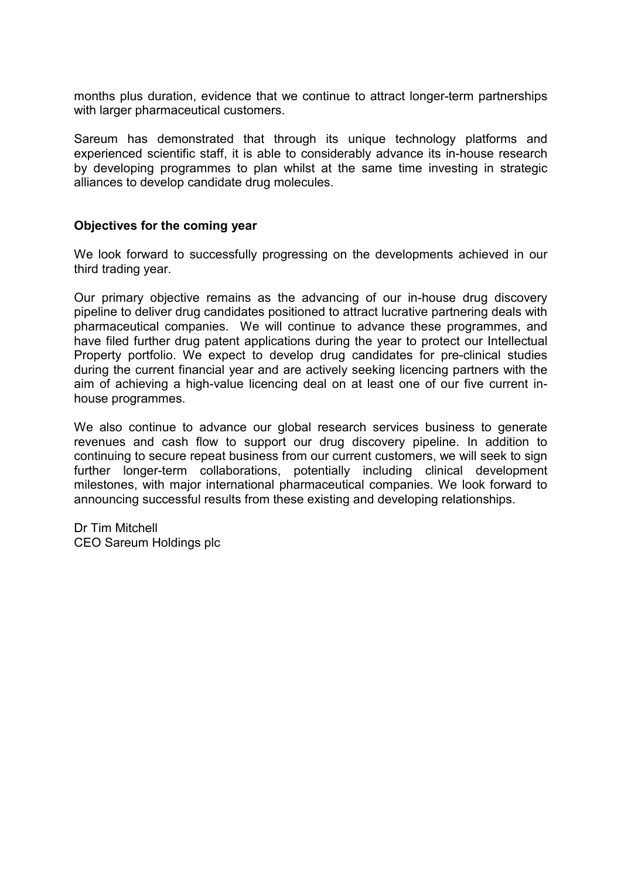months plus duration, evidence that we continue to attract longer-term partnerships with larger pharmaceutical customers.

Sareum has demonstrated that through its unique technology platforms and experienced scientific staff, it is able to considerably advance its in-house research by developing programmes to plan whilst at the same time investing in strategic alliances to develop candidate drug molecules.

#### Objectives for the coming year

We look forward to successfully progressing on the developments achieved in our third trading year.

Our primary objective remains as the advancing of our in-house drug discovery pipeline to deliver drug candidates positioned to attract lucrative partnering deals with pharmaceutical companies. We will continue to advance these programmes, and have filed further drug patent applications during the year to protect our Intellectual Property portfolio. We expect to develop drug candidates for pre-clinical studies during the current financial year and are actively seeking licencing partners with the aim of achieving a high-value licencing deal on at least one of our five current inhouse programmes.

We also continue to advance our global research services business to generate revenues and cash flow to support our drug discovery pipeline. In addition to continuing to secure repeat business from our current customers, we will seek to sign further longer-term collaborations, potentially including clinical development milestones, with major international pharmaceutical companies. We look forward to announcing successful results from these existing and developing relationships.

Dr Tim Mitchell CEO Sareum Holdings plc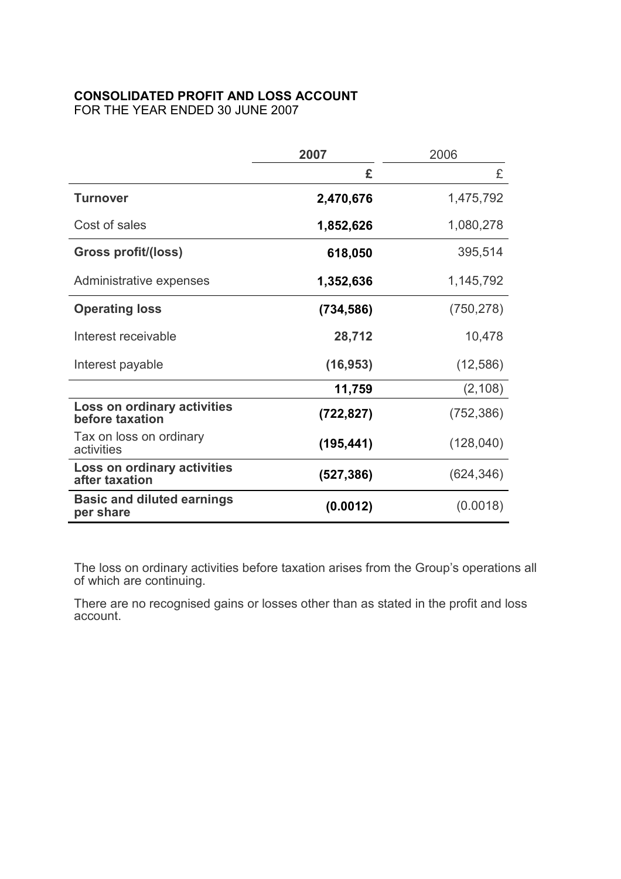## CONSOLIDATED PROFIT AND LOSS ACCOUNT

FOR THE YEAR ENDED 30 JUNE 2007

|                                                | 2007<br>2006 |            |
|------------------------------------------------|--------------|------------|
|                                                | £            | £          |
| <b>Turnover</b>                                | 2,470,676    | 1,475,792  |
| Cost of sales                                  | 1,852,626    | 1,080,278  |
| <b>Gross profit/(loss)</b>                     | 618,050      | 395,514    |
| Administrative expenses                        | 1,352,636    | 1,145,792  |
| <b>Operating loss</b>                          | (734, 586)   | (750, 278) |
| Interest receivable                            | 28,712       | 10,478     |
| Interest payable                               | (16, 953)    | (12, 586)  |
|                                                | 11,759       | (2, 108)   |
| Loss on ordinary activities<br>before taxation | (722, 827)   | (752, 386) |
| Tax on loss on ordinary<br>activities          | (195, 441)   | (128,040)  |
| Loss on ordinary activities<br>after taxation  | (527, 386)   | (624, 346) |
| <b>Basic and diluted earnings</b><br>per share | (0.0012)     | (0.0018)   |

The loss on ordinary activities before taxation arises from the Group's operations all of which are continuing.

There are no recognised gains or losses other than as stated in the profit and loss account.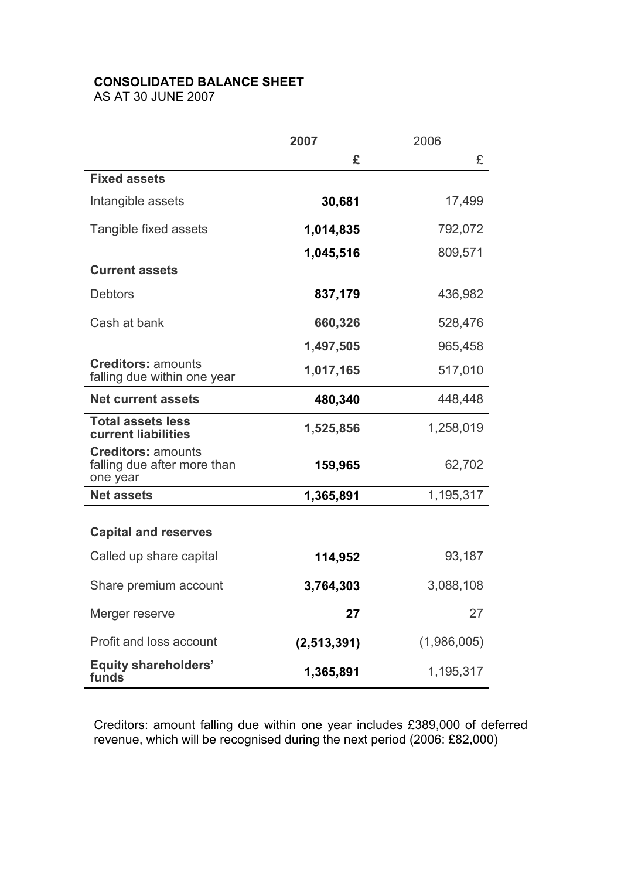# CONSOLIDATED BALANCE SHEET

AS AT 30 JUNE 2007

|                                                                      | 2007          | 2006        |  |
|----------------------------------------------------------------------|---------------|-------------|--|
|                                                                      | £             | £           |  |
| <b>Fixed assets</b>                                                  |               |             |  |
| Intangible assets                                                    | 30,681        | 17,499      |  |
| Tangible fixed assets                                                | 1,014,835     | 792,072     |  |
|                                                                      | 1,045,516     | 809,571     |  |
| <b>Current assets</b>                                                |               |             |  |
| <b>Debtors</b>                                                       | 837,179       | 436,982     |  |
| Cash at bank                                                         | 660,326       | 528,476     |  |
|                                                                      | 1,497,505     | 965,458     |  |
| <b>Creditors: amounts</b><br>falling due within one year             | 1,017,165     | 517,010     |  |
| <b>Net current assets</b>                                            | 480,340       | 448,448     |  |
| <b>Total assets less</b><br><b>current liabilities</b>               | 1,525,856     | 1,258,019   |  |
| <b>Creditors: amounts</b><br>falling due after more than<br>one year | 159,965       | 62,702      |  |
| <b>Net assets</b>                                                    | 1,365,891     | 1,195,317   |  |
| <b>Capital and reserves</b>                                          |               |             |  |
| Called up share capital                                              | 114,952       | 93,187      |  |
| Share premium account                                                | 3,764,303     | 3,088,108   |  |
| Merger reserve                                                       | 27            | 27          |  |
| Profit and loss account                                              | (2, 513, 391) | (1,986,005) |  |
| <b>Equity shareholders'</b><br>funds                                 | 1,365,891     | 1,195,317   |  |

Creditors: amount falling due within one year includes £389,000 of deferred revenue, which will be recognised during the next period (2006: £82,000)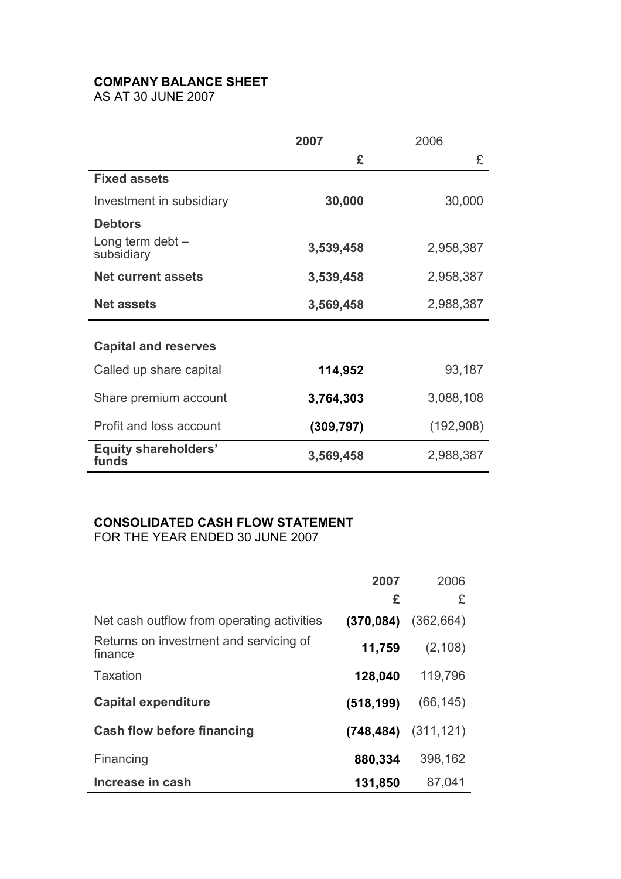# COMPANY BALANCE SHEET

AS AT 30 JUNE 2007

|                                      | 2007       | 2006      |  |
|--------------------------------------|------------|-----------|--|
|                                      | £          | £         |  |
| <b>Fixed assets</b>                  |            |           |  |
| Investment in subsidiary             | 30,000     | 30,000    |  |
| <b>Debtors</b>                       |            |           |  |
| Long term debt $-$<br>subsidiary     | 3,539,458  | 2,958,387 |  |
| <b>Net current assets</b>            | 3,539,458  | 2,958,387 |  |
| <b>Net assets</b>                    | 3,569,458  | 2,988,387 |  |
|                                      |            |           |  |
| <b>Capital and reserves</b>          |            |           |  |
| Called up share capital              | 114,952    | 93,187    |  |
| Share premium account                | 3,764,303  | 3,088,108 |  |
| Profit and loss account              | (309, 797) | (192,908) |  |
| <b>Equity shareholders'</b><br>funds | 3,569,458  | 2,988,387 |  |

# CONSOLIDATED CASH FLOW STATEMENT

FOR THE YEAR ENDED 30 JUNE 2007

|                                                   | 2007       | 2006       |
|---------------------------------------------------|------------|------------|
|                                                   | £          | £          |
| Net cash outflow from operating activities        | (370, 084) | (362, 664) |
| Returns on investment and servicing of<br>finance | 11,759     | (2, 108)   |
| Taxation                                          | 128,040    | 119,796    |
| <b>Capital expenditure</b>                        | (518, 199) | (66, 145)  |
| <b>Cash flow before financing</b>                 | (748, 484) | (311, 121) |
| Financing                                         | 880,334    | 398,162    |
| Increase in cash                                  | 131,850    | 87,041     |